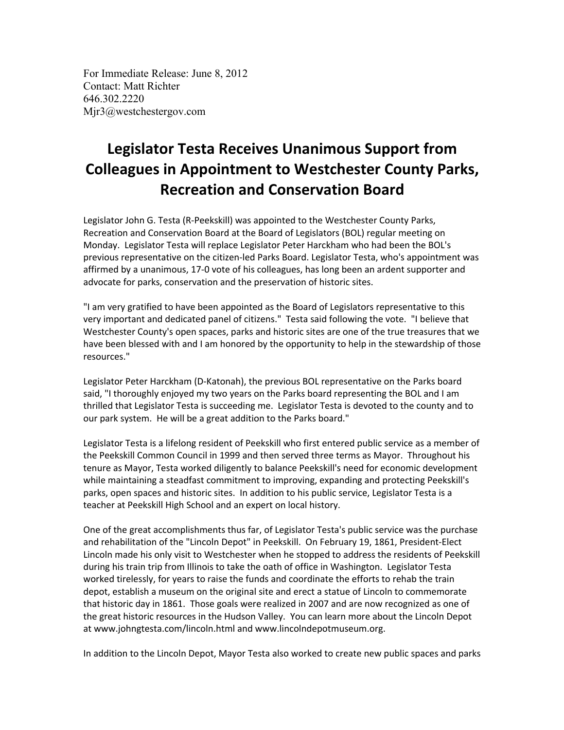For Immediate Release: June 8, 2012 Contact: Matt Richter 646.302.2220 Mjr3@westchestergov.com

## **Legislator Testa Receives Unanimous Support from Colleagues in Appointment to Westchester County Parks, Recreation and Conservation Board**

Legislator John G. Testa (R-Peekskill) was appointed to the Westchester County Parks, Recreation and Conservation Board at the Board of Legislators (BOL) regular meeting on Monday. Legislator Testa will replace Legislator Peter Harckham who had been the BOL's previous representative on the citizen-led Parks Board. Legislator Testa, who's appointment was affirmed by a unanimous, 17-0 vote of his colleagues, has long been an ardent supporter and advocate for parks, conservation and the preservation of historic sites.

"I am very gratified to have been appointed as the Board of Legislators representative to this very important and dedicated panel of citizens." Testa said following the vote. "I believe that Westchester County's open spaces, parks and historic sites are one of the true treasures that we have been blessed with and I am honored by the opportunity to help in the stewardship of those resources."

Legislator Peter Harckham (D-Katonah), the previous BOL representative on the Parks board said, "I thoroughly enjoyed my two years on the Parks board representing the BOL and I am thrilled that Legislator Testa is succeeding me. Legislator Testa is devoted to the county and to our park system. He will be a great addition to the Parks board."

Legislator Testa is a lifelong resident of Peekskill who first entered public service as a member of the Peekskill Common Council in 1999 and then served three terms as Mayor. Throughout his tenure as Mayor, Testa worked diligently to balance Peekskill's need for economic development while maintaining a steadfast commitment to improving, expanding and protecting Peekskill's parks, open spaces and historic sites. In addition to his public service, Legislator Testa is a teacher at Peekskill High School and an expert on local history.

One of the great accomplishments thus far, of Legislator Testa's public service was the purchase and rehabilitation of the "Lincoln Depot" in Peekskill. On February 19, 1861, President-Elect Lincoln made his only visit to Westchester when he stopped to address the residents of Peekskill during his train trip from Illinois to take the oath of office in Washington. Legislator Testa worked tirelessly, for years to raise the funds and coordinate the efforts to rehab the train depot, establish a museum on the original site and erect a statue of Lincoln to commemorate that historic day in 1861. Those goals were realized in 2007 and are now recognized as one of the great historic resources in the Hudson Valley. You can learn more about the Lincoln Depot at www.johngtesta.com/lincoln.html and www.lincolndepotmuseum.org.

In addition to the Lincoln Depot, Mayor Testa also worked to create new public spaces and parks